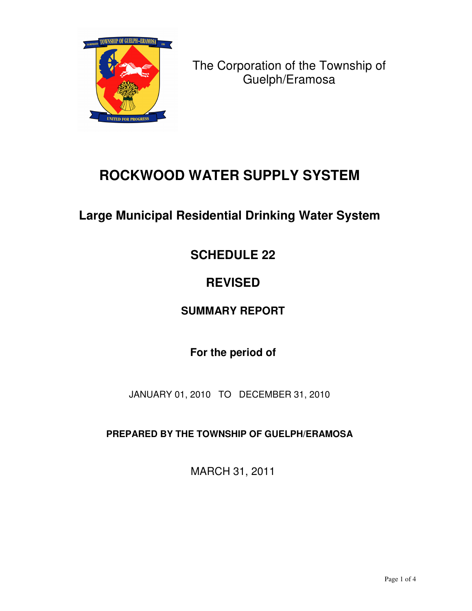

The Corporation of the Township of Guelph/Eramosa

# **ROCKWOOD WATER SUPPLY SYSTEM**

## **Large Municipal Residential Drinking Water System**

## **SCHEDULE 22**

# **REVISED**

## **SUMMARY REPORT**

## **For the period of**

JANUARY 01, 2010 TO DECEMBER 31, 2010

**PREPARED BY THE TOWNSHIP OF GUELPH/ERAMOSA**

MARCH 31, 2011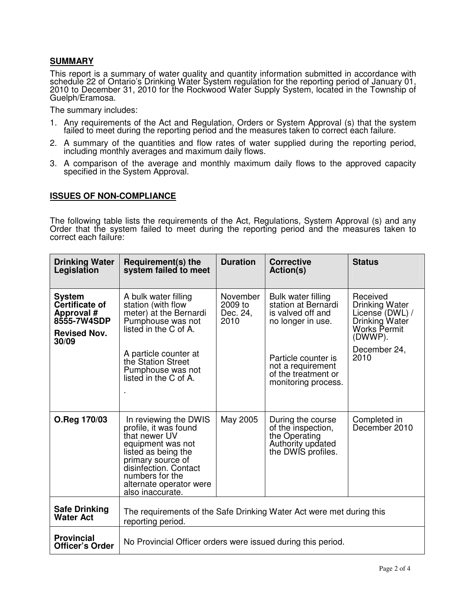#### **SUMMARY**

This report is a summary of water quality and quantity information submitted in accordance with schedule 22 of Ontario's Drinking Water System regulation for the reporting period of January 01, 2010 to December 31, 2010 for the Rockwood Water Supply System, located in the Township of Guelph/Eramosa.

The summary includes:

- 1. Any requirements of the Act and Regulation, Orders or System Approval (s) that the system failed to meet during the reporting period and the measures taken to correct each failure.
- 2. A summary of the quantities and flow rates of water supplied during the reporting period, including monthly averages and maximum daily flows.
- 3. A comparison of the average and monthly maximum daily flows to the approved capacity specified in the System Approval.

#### **ISSUES OF NON-COMPLIANCE**

The following table lists the requirements of the Act, Regulations, System Approval (s) and any Order that the system failed to meet during the reporting period and the measures taken to correct each failure:

| <b>Drinking Water</b><br>Legislation                                                         | Requirement(s) the<br>system failed to meet                                                                                                                                                                                 | <b>Duration</b>                         | <b>Corrective</b><br>Action(s)                                                                             | <b>Status</b>                                                                                                             |  |  |  |
|----------------------------------------------------------------------------------------------|-----------------------------------------------------------------------------------------------------------------------------------------------------------------------------------------------------------------------------|-----------------------------------------|------------------------------------------------------------------------------------------------------------|---------------------------------------------------------------------------------------------------------------------------|--|--|--|
| <b>System</b><br>Certificate of<br>Approval #<br>8555-7W4SDP<br><b>Revised Nov.</b><br>30/09 | A bulk water filling<br>station (with flow<br>meter) at the Bernardi<br>Pumphouse was not<br>listed in the C of A.<br>A particle counter at                                                                                 | November<br>2009 to<br>Dec. 24,<br>2010 | Bulk water filling<br>station at Bernardi<br>is valved off and<br>no longer in use.<br>Particle counter is | Received<br>Drinking Water<br>License (DWL) /<br>Drinking Water<br><b>Works Permit</b><br>(DWWP).<br>December 24,<br>2010 |  |  |  |
|                                                                                              | the Station Street<br>Pumphouse was not<br>listed in the C of A.                                                                                                                                                            |                                         | not a requirement<br>of the treatment or<br>monitoring process.                                            |                                                                                                                           |  |  |  |
| O.Reg 170/03                                                                                 | In reviewing the DWIS<br>profile, it was found<br>that newer UV<br>equipment was not<br>listed as being the<br>primary source of<br>disinfection. Contact<br>numbers for the<br>alternate operator were<br>also inaccurate. | May 2005                                | During the course<br>of the inspection,<br>the Operating<br>Authority updated<br>the DWIS profiles.        | Completed in<br>December 2010                                                                                             |  |  |  |
| <b>Safe Drinking</b><br><b>Water Act</b>                                                     | The requirements of the Safe Drinking Water Act were met during this<br>reporting period.                                                                                                                                   |                                         |                                                                                                            |                                                                                                                           |  |  |  |
| <b>Provincial</b><br>Officer's Order                                                         | No Provincial Officer orders were issued during this period.                                                                                                                                                                |                                         |                                                                                                            |                                                                                                                           |  |  |  |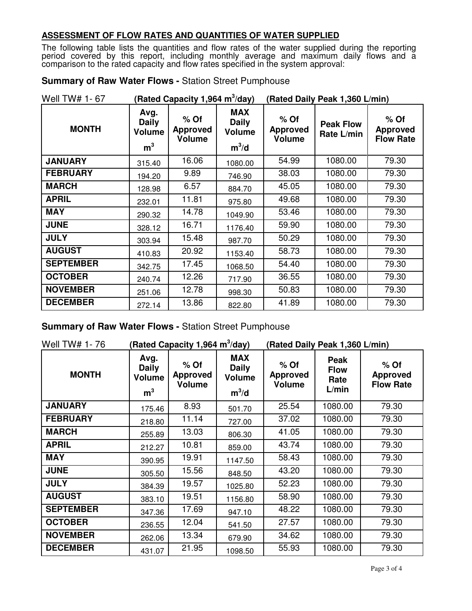#### **ASSESSMENT OF FLOW RATES AND QUANTITIES OF WATER SUPPLIED**

The following table lists the quantities and flow rates of the water supplied during the reporting period covered by this report, including monthly average and maximum daily flows and a comparison to the rated capacity and flow rates specified in the system approval:

| <b>Summary of Raw Water Flows - Station Street Pumphouse</b> |  |
|--------------------------------------------------------------|--|
|--------------------------------------------------------------|--|

| Well TW# 1-67    | (Rated Capacity 1,964 m <sup>3</sup> /day)              |                                            |                                                        | (Rated Daily Peak 1,360 L/min)             |                                |                                               |
|------------------|---------------------------------------------------------|--------------------------------------------|--------------------------------------------------------|--------------------------------------------|--------------------------------|-----------------------------------------------|
| <b>MONTH</b>     | Avg.<br><b>Daily</b><br><b>Volume</b><br>m <sup>3</sup> | $%$ Of<br><b>Approved</b><br><b>Volume</b> | <b>MAX</b><br><b>Daily</b><br><b>Volume</b><br>$m^3/d$ | $%$ Of<br><b>Approved</b><br><b>Volume</b> | <b>Peak Flow</b><br>Rate L/min | $%$ Of<br><b>Approved</b><br><b>Flow Rate</b> |
| <b>JANUARY</b>   | 315.40                                                  | 16.06                                      | 1080.00                                                | 54.99                                      | 1080.00                        | 79.30                                         |
| <b>FEBRUARY</b>  | 194.20                                                  | 9.89                                       | 746.90                                                 | 38.03                                      | 1080.00                        | 79.30                                         |
| <b>MARCH</b>     | 128.98                                                  | 6.57                                       | 884.70                                                 | 45.05                                      | 1080.00                        | 79.30                                         |
| <b>APRIL</b>     | 232.01                                                  | 11.81                                      | 975.80                                                 | 49.68                                      | 1080.00                        | 79.30                                         |
| <b>MAY</b>       | 290.32                                                  | 14.78                                      | 1049.90                                                | 53.46                                      | 1080.00                        | 79.30                                         |
| <b>JUNE</b>      | 328.12                                                  | 16.71                                      | 1176.40                                                | 59.90                                      | 1080.00                        | 79.30                                         |
| <b>JULY</b>      | 303.94                                                  | 15.48                                      | 987.70                                                 | 50.29                                      | 1080.00                        | 79.30                                         |
| <b>AUGUST</b>    | 410.83                                                  | 20.92                                      | 1153.40                                                | 58.73                                      | 1080.00                        | 79.30                                         |
| <b>SEPTEMBER</b> | 342.75                                                  | 17.45                                      | 1068.50                                                | 54.40                                      | 1080.00                        | 79.30                                         |
| <b>OCTOBER</b>   | 240.74                                                  | 12.26                                      | 717.90                                                 | 36.55                                      | 1080.00                        | 79.30                                         |
| <b>NOVEMBER</b>  | 251.06                                                  | 12.78                                      | 998.30                                                 | 50.83                                      | 1080.00                        | 79.30                                         |
| <b>DECEMBER</b>  | 272.14                                                  | 13.86                                      | 822.80                                                 | 41.89                                      | 1080.00                        | 79.30                                         |

**Summary of Raw Water Flows -** Station Street Pumphouse

| Well TW# 1-76    | (Rated Capacity 1,964 m $3$ /day)                       |                                            |                                                        | (Rated Daily Peak 1,360 L/min)      |                                      |                                               |
|------------------|---------------------------------------------------------|--------------------------------------------|--------------------------------------------------------|-------------------------------------|--------------------------------------|-----------------------------------------------|
| <b>MONTH</b>     | Avg.<br><b>Daily</b><br><b>Volume</b><br>m <sup>3</sup> | $%$ Of<br><b>Approved</b><br><b>Volume</b> | <b>MAX</b><br><b>Daily</b><br><b>Volume</b><br>$m^3/d$ | $%$ Of<br><b>Approved</b><br>Volume | Peak<br><b>Flow</b><br>Rate<br>L/min | $%$ Of<br><b>Approved</b><br><b>Flow Rate</b> |
| <b>JANUARY</b>   | 175.46                                                  | 8.93                                       | 501.70                                                 | 25.54                               | 1080.00                              | 79.30                                         |
| <b>FEBRUARY</b>  | 218.80                                                  | 11.14                                      | 727.00                                                 | 37.02                               | 1080.00                              | 79.30                                         |
| <b>MARCH</b>     | 255.89                                                  | 13.03                                      | 806.30                                                 | 41.05                               | 1080.00                              | 79.30                                         |
| <b>APRIL</b>     | 212.27                                                  | 10.81                                      | 859.00                                                 | 43.74                               | 1080.00                              | 79.30                                         |
| <b>MAY</b>       | 390.95                                                  | 19.91                                      | 1147.50                                                | 58.43                               | 1080.00                              | 79.30                                         |
| <b>JUNE</b>      | 305.50                                                  | 15.56                                      | 848.50                                                 | 43.20                               | 1080.00                              | 79.30                                         |
| <b>JULY</b>      | 384.39                                                  | 19.57                                      | 1025.80                                                | 52.23                               | 1080.00                              | 79.30                                         |
| <b>AUGUST</b>    | 383.10                                                  | 19.51                                      | 1156.80                                                | 58.90                               | 1080.00                              | 79.30                                         |
| <b>SEPTEMBER</b> | 347.36                                                  | 17.69                                      | 947.10                                                 | 48.22                               | 1080.00                              | 79.30                                         |
| <b>OCTOBER</b>   | 236.55                                                  | 12.04                                      | 541.50                                                 | 27.57                               | 1080.00                              | 79.30                                         |
| <b>NOVEMBER</b>  | 262.06                                                  | 13.34                                      | 679.90                                                 | 34.62                               | 1080.00                              | 79.30                                         |
| <b>DECEMBER</b>  | 431.07                                                  | 21.95                                      | 1098.50                                                | 55.93                               | 1080.00                              | 79.30                                         |